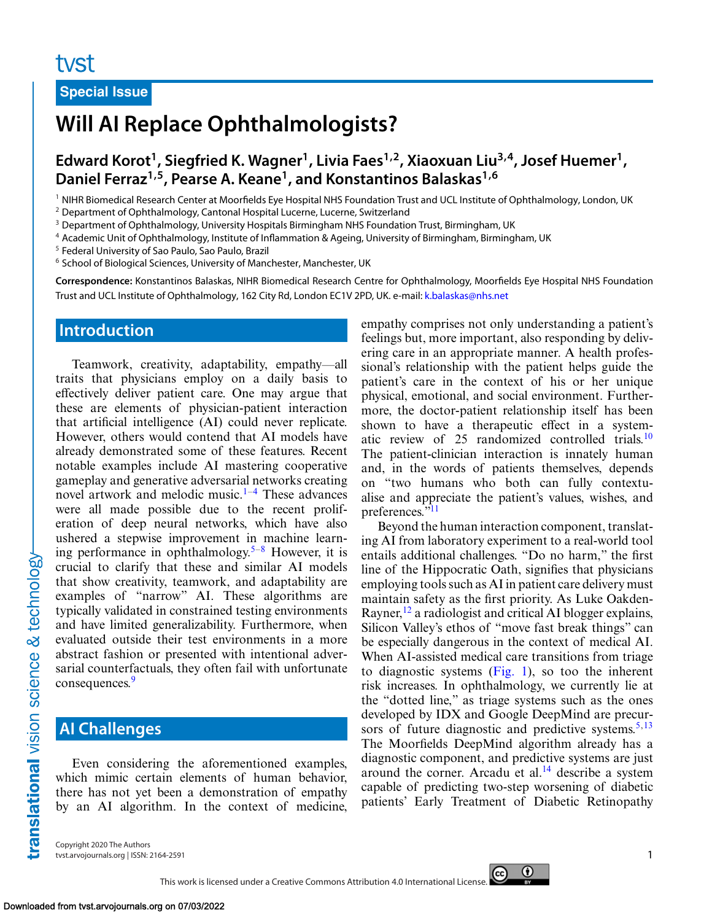#### **Special Issue**

# **Will AI Replace Ophthalmologists?**

**Edward Korot1, Siegfried K. Wagner1, Livia Faes1,2, Xiaoxuan Liu3,4, Josef Huemer1, Daniel Ferraz1,5, Pearse A. Keane1, and Konstantinos Balaskas1,6**

<sup>1</sup> NIHR Biomedical Research Center at Moorfields Eye Hospital NHS Foundation Trust and UCL Institute of Ophthalmology, London, UK

<sup>2</sup> Department of Ophthalmology, Cantonal Hospital Lucerne, Lucerne, Switzerland

<sup>3</sup> Department of Ophthalmology, University Hospitals Birmingham NHS Foundation Trust, Birmingham, UK

<sup>4</sup> Academic Unit of Ophthalmology, Institute of Inflammation & Ageing, University of Birmingham, Birmingham, UK

<sup>5</sup> Federal University of Sao Paulo, Sao Paulo, Brazil

<sup>6</sup> School of Biological Sciences, University of Manchester, Manchester, UK

**Correspondence:** Konstantinos Balaskas, NIHR Biomedical Research Centre for Ophthalmology, Moorfields Eye Hospital NHS Foundation Trust and UCL Institute of Ophthalmology, 162 City Rd, London EC1V 2PD, UK. e-mail: [k.balaskas@nhs.net](mailto:k.balaskas@nhs.net)

#### **Introduction**

Teamwork, creativity, adaptability, empathy—all traits that physicians employ on a daily basis to effectively deliver patient care. One may argue that these are elements of physician-patient interaction that artificial intelligence (AI) could never replicate. However, others would contend that AI models have already demonstrated some of these features. Recent notable examples include AI mastering cooperative gameplay and generative adversarial networks creating novel artwork and melodic music. $1-4$  These advances were all made possible due to the recent proliferation of deep neural networks, which have also ushered a stepwise improvement in machine learn-ing performance in ophthalmology.<sup>[5–8](#page-3-0)</sup> However, it is crucial to clarify that these and similar AI models that show creativity, teamwork, and adaptability are examples of "narrow" AI. These algorithms are typically validated in constrained testing environments and have limited generalizability. Furthermore, when evaluated outside their test environments in a more abstract fashion or presented with intentional adversarial counterfactuals, they often fail with unfortunate consequences.<sup>[9](#page-3-0)</sup>

### **AI Challenges**

translational vision science & technology-

Even considering the aforementioned examples, which mimic certain elements of human behavior, there has not yet been a demonstration of empathy by an AI algorithm. In the context of medicine, empathy comprises not only understanding a patient's feelings but, more important, also responding by delivering care in an appropriate manner. A health professional's relationship with the patient helps guide the patient's care in the context of his or her unique physical, emotional, and social environment. Furthermore, the doctor-patient relationship itself has been shown to have a therapeutic effect in a systematic review of 25 randomized controlled trials.<sup>10</sup> The patient-clinician interaction is innately human and, in the words of patients themselves, depends on "two humans who both can fully contextualise and appreciate the patient's values, wishes, and preferences.["11](#page-4-0)

Beyond the human interaction component, translating AI from laboratory experiment to a real-world tool entails additional challenges. "Do no harm," the first line of the Hippocratic Oath, signifies that physicians employing tools such as AI in patient care delivery must maintain safety as the first priority. As Luke Oakden-Rayner,  $^{12}$  $^{12}$  $^{12}$  a radiologist and critical AI blogger explains, Silicon Valley's ethos of "move fast break things" can be especially dangerous in the context of medical AI. When AI-assisted medical care transitions from triage to diagnostic systems [\(Fig. 1\)](#page-1-0), so too the inherent risk increases. In ophthalmology, we currently lie at the "dotted line," as triage systems such as the ones developed by IDX and Google DeepMind are precursors of future diagnostic and predictive systems. $5,13$  $5,13$ The Moorfields DeepMind algorithm already has a diagnostic component, and predictive systems are just around the corner. Arcadu et al. $14$  describe a system capable of predicting two-step worsening of diabetic patients' Early Treatment of Diabetic Retinopathy

Copyright 2020 The Authors tvst.arvojournals.org | ISSN: 2164-2591 1



This work is licensed under a Creative Commons Attribution 4.0 International License.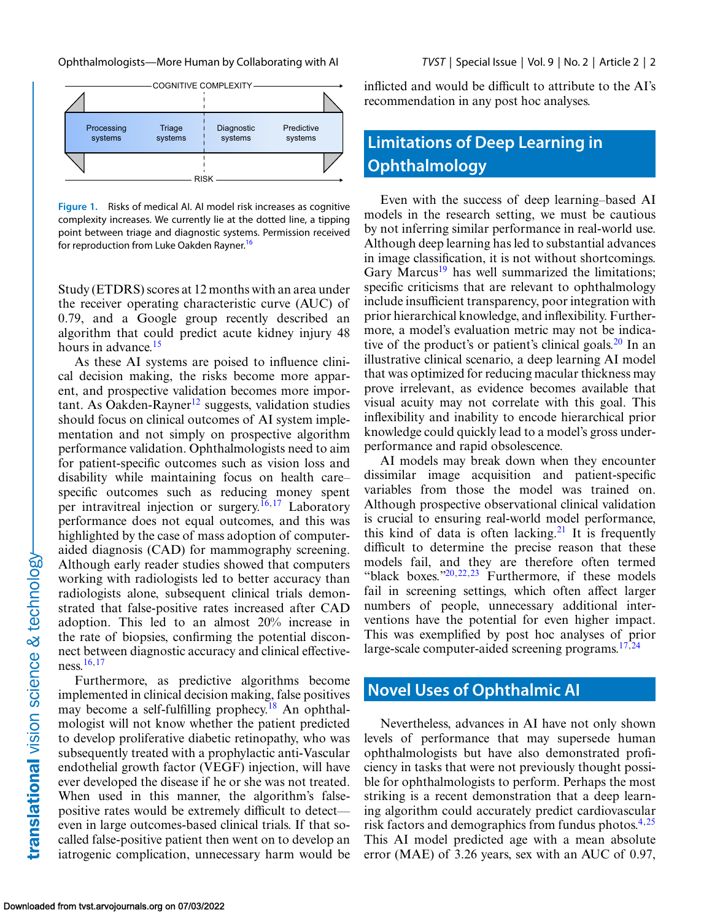<span id="page-1-0"></span>Ophthalmologists—More Human by Collaborating with AI *TVST* | Special Issue | Vol. 9 | No. 2 | Article 2 | 2



**Figure 1.** Risks of medical AI. AI model risk increases as cognitive complexity increases. We currently lie at the dotted line, a tipping point between triage and diagnostic systems. Permission received for reproduction from Luke Oakden Rayner.<sup>16</sup>

Study (ETDRS) scores at 12 months with an area under the receiver operating characteristic curve (AUC) of 0.79, and a Google group recently described an algorithm that could predict acute kidney injury 48 hours in advance.<sup>[15](#page-4-0)</sup>

As these AI systems are poised to influence clinical decision making, the risks become more apparent, and prospective validation becomes more impor-tant. As Oakden-Rayner<sup>[12](#page-4-0)</sup> suggests, validation studies should focus on clinical outcomes of AI system implementation and not simply on prospective algorithm performance validation. Ophthalmologists need to aim for patient-specific outcomes such as vision loss and disability while maintaining focus on health care– specific outcomes such as reducing money spent per intravitreal injection or surgery.<sup>16,17</sup> Laboratory performance does not equal outcomes, and this was highlighted by the case of mass adoption of computeraided diagnosis (CAD) for mammography screening. Although early reader studies showed that computers working with radiologists led to better accuracy than radiologists alone, subsequent clinical trials demonstrated that false-positive rates increased after CAD adoption. This led to an almost 20% increase in the rate of biopsies, confirming the potential disconnect between diagnostic accuracy and clinical effectiveness[.16,17](#page-4-0)

Furthermore, as predictive algorithms become implemented in clinical decision making, false positives may become a self-fulfilling prophecy.<sup>[18](#page-4-0)</sup> An ophthalmologist will not know whether the patient predicted to develop proliferative diabetic retinopathy, who was subsequently treated with a prophylactic anti-Vascular endothelial growth factor (VEGF) injection, will have ever developed the disease if he or she was not treated. When used in this manner, the algorithm's falsepositive rates would be extremely difficult to detect even in large outcomes-based clinical trials. If that socalled false-positive patient then went on to develop an iatrogenic complication, unnecessary harm would be inflicted and would be difficult to attribute to the AI's recommendation in any post hoc analyses.

# **Limitations of Deep Learning in Ophthalmology**

Even with the success of deep learning–based AI models in the research setting, we must be cautious by not inferring similar performance in real-world use. Although deep learning has led to substantial advances in image classification, it is not without shortcomings. Gary Marcus<sup>19</sup> has well summarized the limitations; specific criticisms that are relevant to ophthalmology include insufficient transparency, poor integration with prior hierarchical knowledge, and inflexibility. Furthermore, a model's evaluation metric may not be indicative of the product's or patient's clinical goals. $^{20}$  $^{20}$  $^{20}$  In an illustrative clinical scenario, a deep learning AI model that was optimized for reducing macular thickness may prove irrelevant, as evidence becomes available that visual acuity may not correlate with this goal. This inflexibility and inability to encode hierarchical prior knowledge could quickly lead to a model's gross underperformance and rapid obsolescence.

AI models may break down when they encounter dissimilar image acquisition and patient-specific variables from those the model was trained on. Although prospective observational clinical validation is crucial to ensuring real-world model performance, this kind of data is often lacking.<sup>21</sup> It is frequently difficult to determine the precise reason that these models fail, and they are therefore often termed "black boxes." $20,22,23$  Furthermore, if these models fail in screening settings, which often affect larger numbers of people, unnecessary additional interventions have the potential for even higher impact. This was exemplified by post hoc analyses of prior large-scale computer-aided screening programs. $17,24$ 

### **Novel Uses of Ophthalmic AI**

Nevertheless, advances in AI have not only shown levels of performance that may supersede human ophthalmologists but have also demonstrated proficiency in tasks that were not previously thought possible for ophthalmologists to perform. Perhaps the most striking is a recent demonstration that a deep learning algorithm could accurately predict cardiovascular risk factors and demographics from fundus photos.<sup>4,[25](#page-4-0)</sup> This AI model predicted age with a mean absolute error (MAE) of 3.26 years, sex with an AUC of 0.97,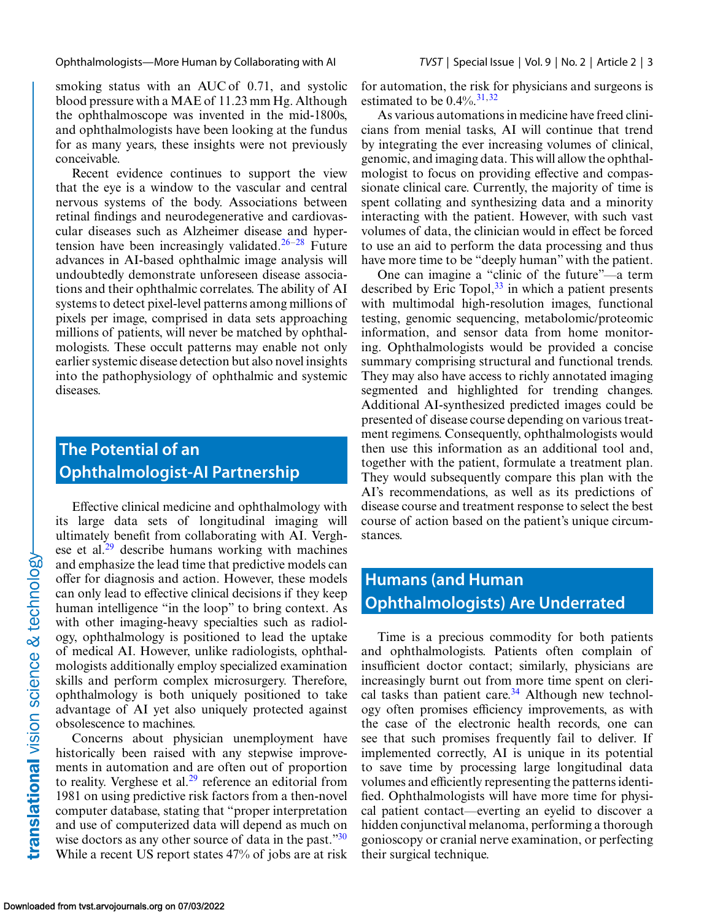Ophthalmologists—More Human by Collaborating with AI *TVST* | Special Issue | Vol. 9 | No. 2 | Article 2 | 3

smoking status with an AUC of 0.71, and systolic blood pressure with a MAE of 11.23 mm Hg. Although the ophthalmoscope was invented in the mid-1800s, and ophthalmologists have been looking at the fundus for as many years, these insights were not previously conceivable.

Recent evidence continues to support the view that the eye is a window to the vascular and central nervous systems of the body. Associations between retinal findings and neurodegenerative and cardiovascular diseases such as Alzheimer disease and hyper-tension have been increasingly validated.<sup>[26–28](#page-4-0)</sup> Future advances in AI-based ophthalmic image analysis will undoubtedly demonstrate unforeseen disease associations and their ophthalmic correlates. The ability of AI systems to detect pixel-level patterns among millions of pixels per image, comprised in data sets approaching millions of patients, will never be matched by ophthalmologists. These occult patterns may enable not only earlier systemic disease detection but also novel insights into the pathophysiology of ophthalmic and systemic diseases.

## **The Potential of an Ophthalmologist-AI Partnership**

Effective clinical medicine and ophthalmology with its large data sets of longitudinal imaging will ultimately benefit from collaborating with AI. Verghese et al.<sup>29</sup> describe humans working with machines and emphasize the lead time that predictive models can offer for diagnosis and action. However, these models can only lead to effective clinical decisions if they keep human intelligence "in the loop" to bring context. As with other imaging-heavy specialties such as radiology, ophthalmology is positioned to lead the uptake of medical AI. However, unlike radiologists, ophthalmologists additionally employ specialized examination skills and perform complex microsurgery. Therefore, ophthalmology is both uniquely positioned to take advantage of AI yet also uniquely protected against obsolescence to machines.

Concerns about physician unemployment have historically been raised with any stepwise improvements in automation and are often out of proportion to reality. Verghese et al.<sup>[29](#page-4-0)</sup> reference an editorial from 1981 on using predictive risk factors from a then-novel computer database, stating that "proper interpretation and use of computerized data will depend as much on wise doctors as any other source of data in the past.["30](#page-4-0) While a recent US report states 47% of jobs are at risk for automation, the risk for physicians and surgeons is estimated to be  $0.4\%$ .<sup>31,32</sup>

As various automations in medicine have freed clinicians from menial tasks, AI will continue that trend by integrating the ever increasing volumes of clinical, genomic, and imaging data. This will allow the ophthalmologist to focus on providing effective and compassionate clinical care. Currently, the majority of time is spent collating and synthesizing data and a minority interacting with the patient. However, with such vast volumes of data, the clinician would in effect be forced to use an aid to perform the data processing and thus have more time to be "deeply human" with the patient.

One can imagine a "clinic of the future"—a term described by Eric Topol,  $33$  in which a patient presents with multimodal high-resolution images, functional testing, genomic sequencing, metabolomic/proteomic information, and sensor data from home monitoring. Ophthalmologists would be provided a concise summary comprising structural and functional trends. They may also have access to richly annotated imaging segmented and highlighted for trending changes. Additional AI-synthesized predicted images could be presented of disease course depending on various treatment regimens. Consequently, ophthalmologists would then use this information as an additional tool and, together with the patient, formulate a treatment plan. They would subsequently compare this plan with the AI's recommendations, as well as its predictions of disease course and treatment response to select the best course of action based on the patient's unique circumstances.

# **Humans (and Human Ophthalmologists) Are Underrated**

Time is a precious commodity for both patients and ophthalmologists. Patients often complain of insufficient doctor contact; similarly, physicians are increasingly burnt out from more time spent on clerical tasks than patient care. $34$  Although new technology often promises efficiency improvements, as with the case of the electronic health records, one can see that such promises frequently fail to deliver. If implemented correctly, AI is unique in its potential to save time by processing large longitudinal data volumes and efficiently representing the patterns identified. Ophthalmologists will have more time for physical patient contact—everting an eyelid to discover a hidden conjunctival melanoma, performing a thorough gonioscopy or cranial nerve examination, or perfecting their surgical technique.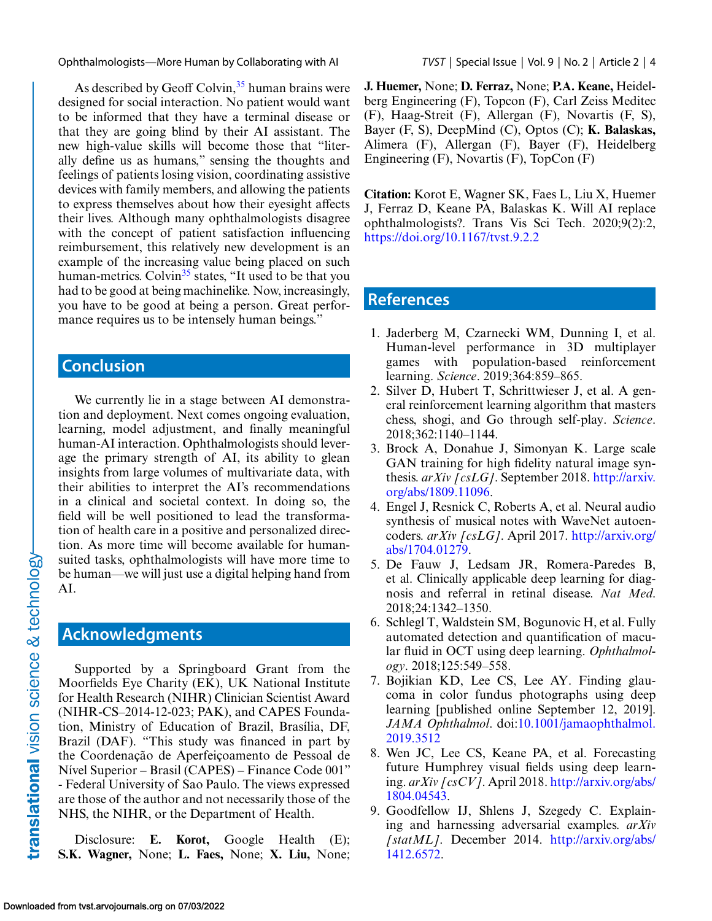<span id="page-3-0"></span>Ophthalmologists—More Human by Collaborating with AI *TVST* | Special Issue | Vol. 9 | No. 2 | Article 2 | 4

As described by Geoff Colvin,  $35$  human brains were designed for social interaction. No patient would want to be informed that they have a terminal disease or that they are going blind by their AI assistant. The new high-value skills will become those that "literally define us as humans," sensing the thoughts and feelings of patients losing vision, coordinating assistive devices with family members, and allowing the patients to express themselves about how their eyesight affects their lives. Although many ophthalmologists disagree with the concept of patient satisfaction influencing reimbursement, this relatively new development is an example of the increasing value being placed on such human-metrics. Colvin<sup>35</sup> states, "It used to be that you had to be good at being machinelike. Now, increasingly, you have to be good at being a person. Great performance requires us to be intensely human beings."

### **Conclusion**

We currently lie in a stage between AI demonstration and deployment. Next comes ongoing evaluation, learning, model adjustment, and finally meaningful human-AI interaction. Ophthalmologists should leverage the primary strength of AI, its ability to glean insights from large volumes of multivariate data, with their abilities to interpret the AI's recommendations in a clinical and societal context. In doing so, the field will be well positioned to lead the transformation of health care in a positive and personalized direction. As more time will become available for humansuited tasks, ophthalmologists will have more time to be human—we will just use a digital helping hand from AI.

### **Acknowledgments**

Supported by a Springboard Grant from the Moorfields Eye Charity (EK), UK National Institute for Health Research (NIHR) Clinician Scientist Award (NIHR-CS–2014-12-023; PAK), and CAPES Foundation, Ministry of Education of Brazil, Brasília, DF, Brazil (DAF). "This study was financed in part by the Coordenação de Aperfeiçoamento de Pessoal de Nível Superior – Brasil (CAPES) – Finance Code 001" - Federal University of Sao Paulo. The views expressed are those of the author and not necessarily those of the NHS, the NIHR, or the Department of Health.

Disclosure: **E. Korot,** Google Health (E); **S.K. Wagner,** None; **L. Faes,** None; **X. Liu,** None; **J. Huemer,** None; **D. Ferraz,** None; **P.A. Keane,** Heidelberg Engineering (F), Topcon (F), Carl Zeiss Meditec (F), Haag-Streit (F), Allergan (F), Novartis (F, S), Bayer (F, S), DeepMind (C), Optos (C); **K. Balaskas,** Alimera (F), Allergan (F), Bayer (F), Heidelberg Engineering (F), Novartis (F), TopCon (F)

**Citation:** Korot E, Wagner SK, Faes L, Liu X, Huemer J, Ferraz D, Keane PA, Balaskas K. Will AI replace ophthalmologists?. Trans Vis Sci Tech. 2020;9(2):2, <https://doi.org/10.1167/tvst.9.2.2>

#### **References**

- 1. Jaderberg M, Czarnecki WM, Dunning I, et al. Human-level performance in 3D multiplayer games with population-based reinforcement learning. *Science*. 2019;364:859–865.
- 2. Silver D, Hubert T, Schrittwieser J, et al. A general reinforcement learning algorithm that masters chess, shogi, and Go through self-play. *Science*. 2018;362:1140–1144.
- 3. Brock A, Donahue J, Simonyan K. Large scale GAN training for high fidelity natural image synthesis. *arXiv [csLG]*. September 2018. http://arxiv. [org/abs/1809.11096.](http://arxiv.org/abs/1809.11096)
- 4. Engel J, Resnick C, Roberts A, et al. Neural audio synthesis of musical notes with WaveNet autoencoders. *arXiv [csLG]*. April 2017. [http://arxiv.org/](http://arxiv.org/abs/1704.01279) abs/1704.01279.
- 5. De Fauw J, Ledsam JR, Romera-Paredes B, et al. Clinically applicable deep learning for diagnosis and referral in retinal disease. *Nat Med*. 2018;24:1342–1350.
- 6. Schlegl T, Waldstein SM, Bogunovic H, et al. Fully automated detection and quantification of macular fluid in OCT using deep learning. *Ophthalmology*. 2018;125:549–558.
- 7. Bojikian KD, Lee CS, Lee AY. Finding glaucoma in color fundus photographs using deep learning [published online September 12, 2019]. *JAMA Ophthalmol*[. doi:10.1001/jamaophthalmol.](https://www.doi.org/10.1001/jamaophthalmol.2019.3512) 2019.3512
- 8. Wen JC, Lee CS, Keane PA, et al. Forecasting future Humphrey visual fields using deep learning. *arXiv [csCV]*. April 2018. [http://arxiv.org/abs/](http://arxiv.org/abs/1804.04543) 1804.04543.
- 9. Goodfellow IJ, Shlens J, Szegedy C. Explaining and harnessing adversarial examples. *arXiv [statML]*. December 2014. [http://arxiv.org/abs/](http://arxiv.org/abs/1412.6572) 1412.6572.